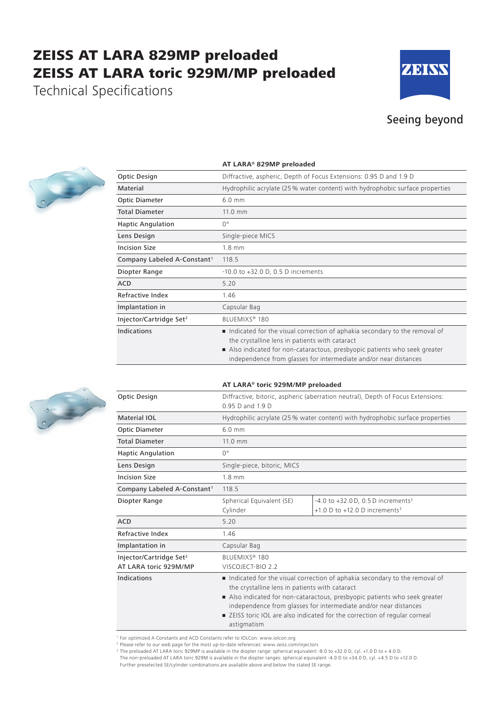## ZEISS AT LARA 829MP preloaded ZEISS AT LARA toric 929M/MP preloaded

Technical Specifications



### Seeing beyond



| <b>Optic Design</b>                     | Diffractive, aspheric, Depth of Focus Extensions: 0.95 D and 1.9 D                                                                                                                                                                                                           |  |
|-----------------------------------------|------------------------------------------------------------------------------------------------------------------------------------------------------------------------------------------------------------------------------------------------------------------------------|--|
| Material                                | Hydrophilic acrylate (25 % water content) with hydrophobic surface properties                                                                                                                                                                                                |  |
| Optic Diameter                          | $6.0$ mm                                                                                                                                                                                                                                                                     |  |
| <b>Total Diameter</b>                   | 11.0 mm                                                                                                                                                                                                                                                                      |  |
| <b>Haptic Angulation</b>                | $0^{\circ}$                                                                                                                                                                                                                                                                  |  |
| Lens Design                             | Single-piece MICS                                                                                                                                                                                                                                                            |  |
| <b>Incision Size</b>                    | $1.8$ mm                                                                                                                                                                                                                                                                     |  |
| Company Labeled A-Constant <sup>1</sup> | 118.5                                                                                                                                                                                                                                                                        |  |
| Diopter Range                           | $-10.0$ to $+32.0$ D, 0.5 D increments                                                                                                                                                                                                                                       |  |
| <b>ACD</b>                              | 5.20                                                                                                                                                                                                                                                                         |  |
| Refractive Index                        | 1.46                                                                                                                                                                                                                                                                         |  |
| Implantation in                         | Capsular Bag                                                                                                                                                                                                                                                                 |  |
| Injector/Cartridge Set <sup>2</sup>     | BLUEMIXS <sup>®</sup> 180                                                                                                                                                                                                                                                    |  |
| <b>Indications</b>                      | Indicated for the visual correction of aphakia secondary to the removal of<br>the crystalline lens in patients with cataract<br>Also indicated for non-cataractous, presbyopic patients who seek greater<br>independence from glasses for intermediate and/or near distances |  |

**AT LARA® toric 929M/MP preloaded**

#### **AT LARA® 829MP preloaded**



| Optic Design                                                 | Diffractive, bitoric, aspheric (aberration neutral), Depth of Focus Extensions:<br>0.95 D and 1.9 D                                                                                                                                                                                                                                                                       |                                                                                                 |  |
|--------------------------------------------------------------|---------------------------------------------------------------------------------------------------------------------------------------------------------------------------------------------------------------------------------------------------------------------------------------------------------------------------------------------------------------------------|-------------------------------------------------------------------------------------------------|--|
| Material IOL                                                 | Hydrophilic acrylate (25 % water content) with hydrophobic surface properties                                                                                                                                                                                                                                                                                             |                                                                                                 |  |
| <b>Optic Diameter</b>                                        | $6.0 \text{ mm}$                                                                                                                                                                                                                                                                                                                                                          |                                                                                                 |  |
| <b>Total Diameter</b>                                        | 11.0 mm                                                                                                                                                                                                                                                                                                                                                                   |                                                                                                 |  |
| <b>Haptic Angulation</b>                                     | $0^{\circ}$                                                                                                                                                                                                                                                                                                                                                               |                                                                                                 |  |
| Lens Design                                                  | Single-piece, bitoric, MICS                                                                                                                                                                                                                                                                                                                                               |                                                                                                 |  |
| <b>Incision Size</b>                                         | $1.8 \text{ mm}$                                                                                                                                                                                                                                                                                                                                                          |                                                                                                 |  |
| Company Labeled A-Constant <sup>1</sup>                      | 118.5                                                                                                                                                                                                                                                                                                                                                                     |                                                                                                 |  |
| Diopter Range                                                | Spherical Equivalent (SE)<br>Cylinder                                                                                                                                                                                                                                                                                                                                     | $-4.0$ to $+32.0$ D, 0.5 D increments <sup>3</sup><br>+1.0 D to +12.0 D increments <sup>3</sup> |  |
| <b>ACD</b>                                                   | 5.20                                                                                                                                                                                                                                                                                                                                                                      |                                                                                                 |  |
| <b>Refractive Index</b>                                      | 1.46                                                                                                                                                                                                                                                                                                                                                                      |                                                                                                 |  |
| Implantation in                                              | Capsular Bag                                                                                                                                                                                                                                                                                                                                                              |                                                                                                 |  |
| Injector/Cartridge Set <sup>2</sup><br>AT LARA toric 929M/MP | BLUEMIXS® 180<br>VISCOJECT-BIO 2.2                                                                                                                                                                                                                                                                                                                                        |                                                                                                 |  |
| Indications                                                  | Indicated for the visual correction of aphakia secondary to the removal of<br>the crystalline lens in patients with cataract<br>Also indicated for non-cataractous, presbyopic patients who seek greater<br>independence from glasses for intermediate and/or near distances<br>■ ZEISS toric IOL are also indicated for the correction of regular corneal<br>astigmatism |                                                                                                 |  |

<sup>1</sup> For optimized A Constants and ACD Constants refer to IOLCon: www.iolcon.org

<sup>2</sup> Please refer to our web page for the most up-to-date references: www.zeiss.com/injectors

<sup>3</sup> The preloaded AT LARA toric 929MP is available in the diopter range: spherical equivalent -8.0 to +32.0 D, cyl. +1.0 D to + 4.0 D. The non-preloaded AT LARA toric 929M is available in the diopter ranges: spherical equivalent -4.0 D to +34.0 D, cyl. +4.5 D to +12.0 D.

Further preselected SE/cylinder combinations are available above and below the stated SE range.